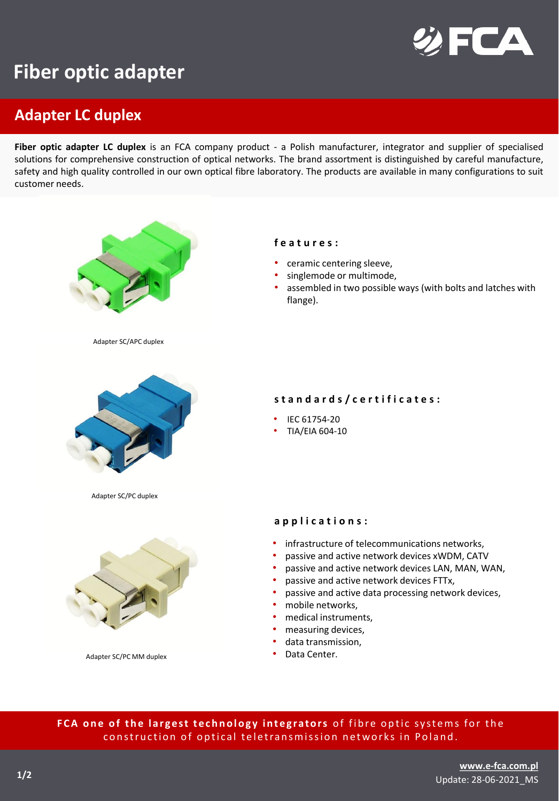

## **Fiber optic adapter**

## **Adapter LC duplex**

**Fiber optic adapter LC duplex** is an FCA company product - a Polish manufacturer, integrator and supplier of specialised solutions for comprehensive construction of optical networks. The brand assortment is distinguished by careful manufacture, safety and high quality controlled in our own optical fibre laboratory. The products are available in many configurations to suit customer needs.



FCA one of the largest technology integrators of fibre optic systems for the construction of optical teletransmission networks in Poland.